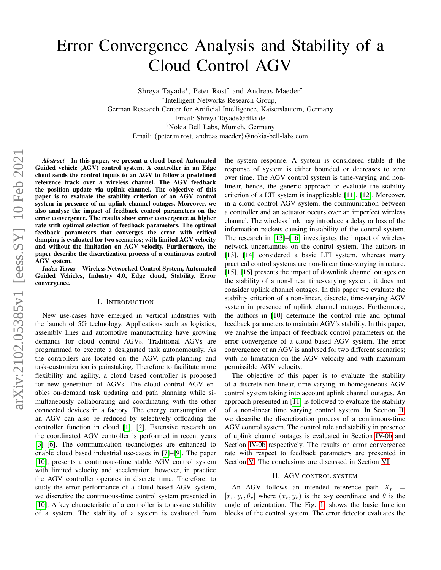# Error Convergence Analysis and Stability of a Cloud Control AGV

Shreya Tayade<sup>∗</sup> , Peter Rost† and Andreas Maeder† ∗ Intelligent Networks Research Group, German Research Center for Artificial Intelligence, Kaiserslautern, Germany Email: Shreya.Tayade@dfki.de †Nokia Bell Labs, Munich, Germany Email: {peter.m.rost, andreas.maeder}@nokia-bell-labs.com

*Abstract*—In this paper, we present a cloud based Automated Guided vehicle (AGV) control system. A controller in an Edge cloud sends the control inputs to an AGV to follow a predefined reference track over a wireless channel. The AGV feedback the position update via uplink channel. The objective of this paper is to evaluate the stability criterion of an AGV control system in presence of an uplink channel outages. Moreover, we also analyse the impact of feedback control parameters on the error convergence. The results show error convergence at higher rate with optimal selection of feedback parameters. The optimal feedback parameters that converges the error with critical damping is evaluated for two scenarios; with limited AGV velocity and without the limitation on AGV velocity. Furthermore, the paper describe the discretization process of a continuous control AGV system.

*Index Terms*—Wireless Networked Control System, Automated Guided Vehicles, Industry 4.0, Edge cloud, Stability, Error convergence.

## I. INTRODUCTION

New use-cases have emerged in vertical industries with the launch of 5G technology. Applications such as logistics, assembly lines and automotive manufacturing have growing demands for cloud control AGVs. Traditional AGVs are programmed to execute a designated task autonomously. As the controllers are located on the AGV, path-planning and task-customization is painstaking. Therefore to facilitate more flexibility and agility, a cloud based controller is proposed for new generation of AGVs. The cloud control AGV enables on-demand task updating and path planning while simultaneously collaborating and coordinating with the other connected devices in a factory. The energy consumption of an AGV can also be reduced by selectively offloading the controller function in cloud [\[1\]](#page-5-0), [\[2\]](#page-5-1). Extensive research on the coordinated AGV controller is performed in recent years [\[3\]](#page-5-2)–[\[6\]](#page-5-3). The communication technologies are enhanced to enable cloud based industrial use-cases in [\[7\]](#page-5-4)–[\[9\]](#page-5-5). The paper [\[10\]](#page-5-6), presents a continuous-time stable AGV control system with limited velocity and acceleration, however, in practice the AGV controller operates in discrete time. Therefore, to study the error performance of a cloud based AGV system, we discretize the continuous-time control system presented in [\[10\]](#page-5-6). A key characteristic of a controller is to assure stability of a system. The stability of a system is evaluated from the system response. A system is considered stable if the response of system is either bounded or decreases to zero over time. The AGV control system is time-varying and nonlinear, hence, the generic approach to evaluate the stability criterion of a LTI system is inapplicable [\[11\]](#page-5-7), [\[12\]](#page-5-8). Moreover, in a cloud control AGV system, the communication between a controller and an actuator occurs over an imperfect wireless channel. The wireless link may introduce a delay or loss of the information packets causing instability of the control system. The research in [\[13\]](#page-5-9)–[\[16\]](#page-5-10) investigates the impact of wireless network uncertainties on the control system. The authors in [\[13\]](#page-5-9), [\[14\]](#page-5-11) considered a basic LTI system, whereas many practical control systems are non-linear time-varying in nature. [\[15\]](#page-5-12), [\[16\]](#page-5-10) presents the impact of downlink channel outages on the stability of a non-linear time-varying system, it does not consider uplink channel outages. In this paper we evaluate the stability criterion of a non-linear, discrete, time-varying AGV system in presence of uplink channel outages. Furthermore, the authors in [\[10\]](#page-5-6) determine the control rule and optimal feedback parameters to maintain AGV's stability. In this paper, we analyse the impact of feedback control parameters on the error convergence of a cloud based AGV system. The error convergence of an AGV is analysed for two different scenarios; with no limitation on the AGV velocity and with maximum permissible AGV velocity.

The objective of this paper is to evaluate the stability of a discrete non-linear, time-varying, in-homogeneous AGV control system taking into account uplink channel outages. An approach presented in [\[11\]](#page-5-7) is followed to evaluate the stability of a non-linear time varying control system. In Section [II,](#page-0-0) we describe the discretization process of a continuous-time AGV control system. The control rule and stability in presence of uplink channel outages is evaluated in Section [IV-0b](#page-2-0) and Section [IV-0b](#page-2-0) respectively. The results on error convergence rate with respect to feedback parameters are presented in Section [V.](#page-3-0) The conclusions are discussed in Section [VI.](#page-4-0)

#### II. AGV CONTROL SYSTEM

<span id="page-0-0"></span>An AGV follows an intended reference path  $X_r$  =  $[x_r, y_r, \theta_r]$  where  $(x_r, y_r)$  is the x-y coordinate and  $\theta$  is the angle of orientation. The Fig. [1,](#page-1-0) shows the basic function blocks of the control system. The error detector evaluates the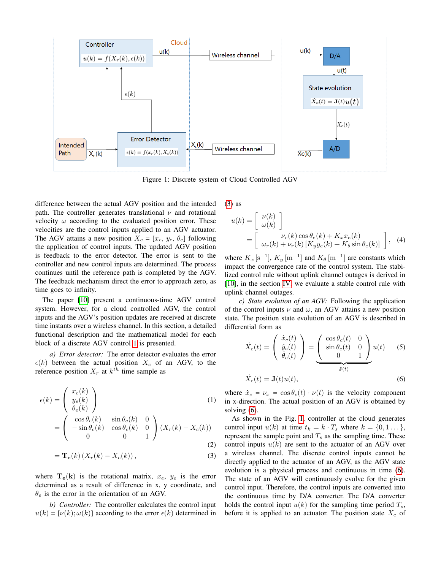<span id="page-1-0"></span>

Figure 1: Discrete system of Cloud Controlled AGV

difference between the actual AGV position and the intended path. The controller generates translational  $\nu$  and rotational velocity  $\omega$  according to the evaluated position error. These velocities are the control inputs applied to an AGV actuator. The AGV attains a new position  $X_c = [x_c, y_c, \theta_c]$  following the application of control inputs. The updated AGV position is feedback to the error detector. The error is sent to the controller and new control inputs are determined. The process continues until the reference path is completed by the AGV. The feedback mechanism direct the error to approach zero, as time goes to infinity.

The paper [\[10\]](#page-5-6) present a continuous-time AGV control system. However, for a cloud controlled AGV, the control inputs and the AGV's position updates are received at discrete time instants over a wireless channel. In this section, a detailed functional description and the mathematical model for each block of a discrete AGV control [1](#page-1-0) is presented.

*a) Error detector:* The error detector evaluates the error  $\epsilon(k)$  between the actual position  $X_c$  of an AGV, to the reference position  $X_r$  at  $k^{th}$  time sample as

$$
\epsilon(k) = \begin{pmatrix} x_e(k) \\ y_e(k) \\ \theta_e(k) \\ -\sin \theta_c(k) & \sin \theta_c(k) & 0 \\ -\sin \theta_c(k) & \cos \theta_c(k) & 0 \\ 0 & 0 & 1 \end{pmatrix} (X_r(k) - X_c(k))
$$
\n(1)

$$
= \mathbf{T_e}(k) \left( X_r(k) - X_c(k) \right),\tag{3}
$$

where  $T_e(k)$  is the rotational matrix,  $x_e$ ,  $y_e$  is the error determined as a result of difference in x, y coordinate, and  $\theta_e$  is the error in the orientation of an AGV.

*b) Controller:* The controller calculates the control input  $u(k) = \left[\nu(k); \omega(k)\right]$  according to the error  $\epsilon(k)$  determined in [\(3\)](#page-1-1) as

<span id="page-1-3"></span>
$$
u(k) = \begin{bmatrix} \nu(k) \\ \omega(k) \end{bmatrix}
$$
  
= 
$$
\begin{bmatrix} \nu_r(k) \cos \theta_e(k) + K_x x_e(k) \\ \omega_r(k) + \nu_r(k) [K_y y_e(k) + K_\theta \sin \theta_e(k)] \end{bmatrix}
$$
, (4)

where  $K_x$  [s<sup>-1</sup>],  $K_y$  [m<sup>-1</sup>] and  $K_\theta$  [m<sup>-1</sup>] are constants which impact the convergence rate of the control system. The stabilized control rule without uplink channel outages is derived in [\[10\]](#page-5-6), in the section [IV,](#page-2-1) we evaluate a stable control rule with uplink channel outages.

*c) State evolution of an AGV:* Following the application of the control inputs  $\nu$  and  $\omega$ , an AGV attains a new position state. The position state evolution of an AGV is described in differential form as

<span id="page-1-2"></span>
$$
\dot{X}_c(t) = \begin{pmatrix} \dot{x}_c(t) \\ \dot{y}_c(t) \\ \dot{\theta}_c(t) \end{pmatrix} = \underbrace{\begin{pmatrix} \cos \theta_c(t) & 0 \\ \sin \theta_c(t) & 0 \\ 0 & 1 \end{pmatrix}}_{\mathbf{J}(t)} u(t) \qquad (5)
$$
\n
$$
\dot{X}_c(t) = \mathbf{J}(t)u(t), \qquad (6)
$$

where  $\dot{x}_c = v_x = \cos \theta_c(t) \cdot v(t)$  is the velocity component in x-direction. The actual position of an AGV is obtained by solving [\(6\)](#page-1-2).

<span id="page-1-1"></span>As shown in the Fig. [1,](#page-1-0) controller at the cloud generates control input  $u(k)$  at time  $t_k = k \cdot T_s$  where  $k = \{0, 1 \dots\}$ , represent the sample point and  $T_s$  as the sampling time. These control inputs  $u(k)$  are sent to the actuator of an AGV over a wireless channel. The discrete control inputs cannot be directly applied to the actuator of an AGV, as the AGV state evolution is a physical process and continuous in time [\(6\)](#page-1-2). The state of an AGV will continuously evolve for the given control input. Therefore, the control inputs are converted into the continuous time by D/A converter. The D/A converter holds the control input  $u(k)$  for the sampling time period  $T_s$ , before it is applied to an actuator. The position state  $X_c$  of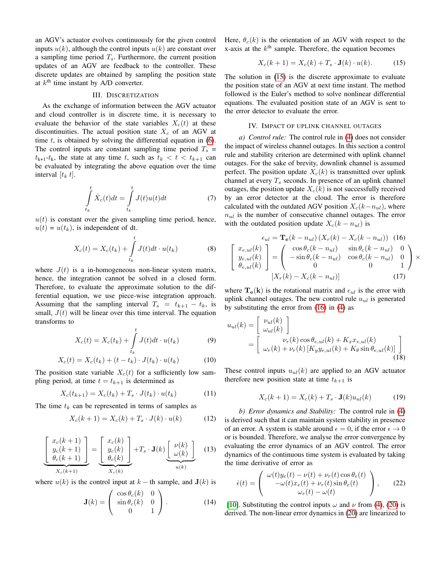an AGV's actuator evolves continuously for the given control inputs  $u(k)$ , although the control inputs  $u(k)$  are constant over a sampling time period  $T_s$ . Furthermore, the current position updates of an AGV are feedback to the controller. These discrete updates are obtained by sampling the position state at  $k<sup>th</sup>$  time instant by A/D converter.

## III. DISCRETIZATION

As the exchange of information between the AGV actuator and cloud controller is in discrete time, it is necessary to evaluate the behavior of the state variables  $X_c(t)$  at these discontinuities. The actual position state  $X_c$  of an AGV at time  $t$ , is obtained by solving the differential equation in  $(6)$ . The control inputs are constant sampling time period  $T_s$  =  $t_{k+1}-t_k$ , the state at any time t, such as  $t_k < t < t_{k+1}$  can be evaluated by integrating the above equation over the time interval  $[t_k t]$ .

$$
\int_{t_k}^t \dot{X}_c(t)dt = \int_{t_k}^t J(t)u(t)dt
$$
\n(7)

 $u(t)$  is constant over the given sampling time period, hence,  $u(t) = u(t_k)$ , is independent of dt.

$$
X_c(t) = X_c(t_k) + \int\limits_{t_k}^t J(t)dt \cdot u(t_k)
$$
 (8)

where  $J(t)$  is a in-homogeneous non-linear system matrix, hence, the integration cannot be solved in a closed form. Therefore, to evaluate the approximate solution to the differential equation, we use piece-wise integration approach. Assuming that the sampling interval  $T_s = t_{k+1} - t_k$ , is small,  $J(t)$  will be linear over this time interval. The equation transforms to

$$
X_c(t) = X_c(t_k) + \int\limits_{t_k}^t J(t)dt \cdot u(t_k)
$$
 (9)

$$
X_c(t) = X_c(t_k) + (t - t_k) \cdot J(t_k) \cdot u(t_k)
$$
 (10)

The position state variable  $X_c(t)$  for a sufficiently low sampling period, at time  $t = t_{k+1}$  is determined as

$$
X_c(t_{k+1}) = X_c(t_k) + T_s \cdot J(t_k) \cdot u(t_k)
$$
 (11)

The time  $t_k$  can be represented in terms of samples as

$$
X_c(k+1) = X_c(k) + T_s \cdot J(k) \cdot u(k) \tag{12}
$$

$$
\left[\begin{array}{c} x_c(k+1) \\ y_c(k+1) \\ \theta_c(k+1) \end{array}\right] = \left[\begin{array}{c} x_c(k) \\ y_c(k) \\ \theta_c(k) \end{array}\right] + T_s \cdot \mathbf{J}(k) \underbrace{\left[\begin{array}{c} \nu(k) \\ \omega(k) \end{array}\right]}_{u(k)} \quad (13)
$$

where  $u(k)$  is the control input at  $k - th$  sample, and  $J(k)$  is

$$
\mathbf{J}(k) = \begin{pmatrix} \cos \theta_c(k) & 0 \\ \sin \theta_c(k) & 0 \\ 0 & 1 \end{pmatrix}.
$$
 (14)

Here,  $\theta_c(k)$  is the orientation of an AGV with respect to the x-axis at the  $k<sup>th</sup>$  sample. Therefore, the equation becomes

<span id="page-2-2"></span>
$$
X_c(k+1) = X_c(k) + T_s \cdot \mathbf{J}(k) \cdot u(k). \tag{15}
$$

The solution in [\(15\)](#page-2-2) is the discrete approximate to evaluate the position state of an AGV at next time instant. The method followed is the Euler's method to solve nonlinear differential equations. The evaluated position state of an AGV is sent to the error detector to evaluate the error.

#### IV. IMPACT OF UPLINK CHANNEL OUTAGES

<span id="page-2-1"></span>*a) Control rule:* The control rule in [\(4\)](#page-1-3) does not consider the impact of wireless channel outages. In this section a control rule and stability criterion are determined with uplink channel outages. For the sake of brevity, downlink channel is assumed perfect. The position update  $X_c(k)$  is transmitted over uplink channel at every  $T_s$  seconds. In presence of an uplink channel outages, the position update  $X_c(k)$  is not successfully received by an error detector at the cloud. The error is therefore calculated with the outdated AGV position  $X_c(k-n_{ul})$ , where  $n_{ul}$  is the number of consecutive channel outages. The error with the outdated position update  $X_c(k - n_{ul})$  is

<span id="page-2-3"></span>
$$
\epsilon_{ul} = \mathbf{T_e}(k - n_{ul})(X_r(k) - X_c(k - n_{ul}))
$$
 (16)  

$$
\begin{bmatrix} x_{e,ul}(k) \\ y_{e,ul}(k) \\ \theta_{e,ul}(k) \end{bmatrix} = \begin{pmatrix} \cos \theta_c(k - n_{ul}) & \sin \theta_c(k - n_{ul}) & 0 \\ -\sin \theta_c(k - n_{ul}) & \cos \theta_c(k - n_{ul}) & 0 \\ 0 & 0 & 1 \end{pmatrix} \times [X_r(k) - X_c(k - n_{ul})]
$$
 (17)

where  $T_e(k)$  is the rotational matrix and  $\epsilon_{ul}$  is the error with uplink channel outages. The new control rule  $u_{ul}$  is generated by substituting the error from [\(16\)](#page-2-3) in [\(4\)](#page-1-3) as

$$
u_{ul}(k) = \begin{bmatrix} \nu_{ul}(k) \\ \omega_{ul}(k) \end{bmatrix}
$$
  
= 
$$
\begin{bmatrix} \nu_r(k) \cos \theta_{e,ul}(k) + K_x x_{e,ul}(k) \\ \omega_r(k) + \nu_r(k) \left[ K_y y_{e,ul}(k) + K_\theta \sin \theta_{e,ul}(k) \right] \end{bmatrix}
$$
(18)

These control inputs  $u_{ul}(k)$  are applied to an AGV actuator therefore new position state at time  $t_{k+1}$  is

<span id="page-2-4"></span>
$$
X_c(k+1) = X_c(k) + T_s \cdot \mathbf{J}(k)u_{ul}(k) \tag{19}
$$

<span id="page-2-0"></span>*b) Error dynamics and Stability:* The control rule in [\(4\)](#page-1-3) is derived such that it can maintain system stability in presence of an error. A system is stable around  $\epsilon = 0$ , if the error  $\epsilon \to 0$ or is bounded. Therefore, we analyse the error convergence by evaluating the error dynamics of an AGV control. The error dynamics of the continuous time system is evaluated by taking the time derivative of error as

$$
\dot{\epsilon}(t) = \begin{pmatrix} \omega(t)y_e(t) - \nu(t) + \nu_r(t)\cos\theta_e(t) \\ -\omega(t)x_e(t) + \nu_r(t)\sin\theta_e(t) \\ \omega_r(t) - \omega(t) \end{pmatrix}, \qquad (22)
$$

[\[10\]](#page-5-6). Substituting the control inputs  $\omega$  and  $\nu$  from [\(4\)](#page-1-3), [\(20\)](#page-3-1) is derived. The non-linear error dynamics in [\(20\)](#page-3-1) are linearized to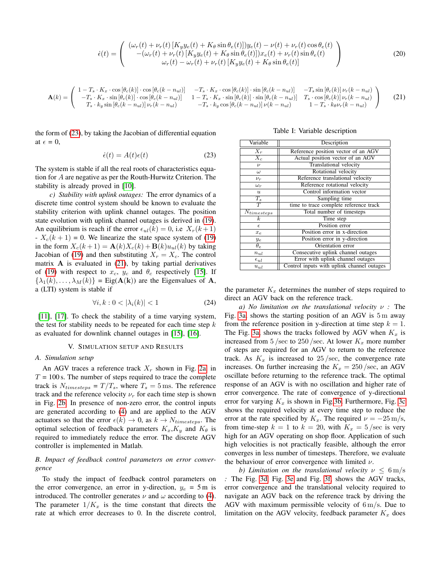$$
\dot{\epsilon}(t) = \begin{pmatrix}\n(\omega_r(t) + \nu_r(t)[K_y y_e(t) + K_\theta \sin \theta_e(t)]) y_e(t) - \nu(t) + \nu_r(t) \cos \theta_e(t) \\
-(\omega_r(t) + \nu_r(t)[K_y y_e(t) + K_\theta \sin \theta_e(t)]) x_e(t) + \nu_r(t) \sin \theta_e(t) \\
\omega_r(t) - \omega_r(t) + \nu_r(t)[K_y y_e(t) + K_\theta \sin \theta_e(t)]\n\end{pmatrix}
$$
\n(20)

<span id="page-3-3"></span>
$$
\mathbf{A}(k) = \begin{pmatrix} 1 - T_s \cdot K_x \cdot \cos\left[\theta_c(k)\right] \cdot \cos\left[\theta_c(k - n_{ul})\right] & -T_s \cdot K_x \cdot \cos\left[\theta_c(k)\right] \cdot \sin\left[\theta_c(k - n_{ul})\right] & -T_s \sin\left[\theta_c(k)\right] \nu_r(k - n_{ul}) \\ -T_s \cdot K_x \cdot \sin\left[\theta_c(k)\right] \cdot \cos\left[\theta_c(k - n_{ul})\right] & 1 - T_s \cdot K_x \cdot \sin\left[\theta_c(k)\right] \cdot \sin\left[\theta_c(k - n_{ul})\right] & T_s \cdot \cos\left[\theta_c(k)\right] \nu_r(k - n_{ul}) \\ T_s \cdot k_y \sin\left[\theta_c(k - n_{ul})\right] \nu_r(k - n_{ul}) & -T_s \cdot k_y \cos\left[\theta_c(k - n_{ul})\right] \nu(k - n_{ul}) & 1 - T_s \cdot k_\theta \nu_r(k - n_{ul}) \end{pmatrix} \tag{21}
$$

the form of [\(23\)](#page-3-2), by taking the Jacobian of differential equation at  $\epsilon = 0$ ,

$$
\dot{\epsilon}(t) = A(t)\epsilon(t) \tag{23}
$$

The system is stable if all the real roots of characteristics equation for A are negative as per the Routh-Hurwitz Criterion. The stability is already proved in [\[10\]](#page-5-6).

*c) Stability with uplink outages:* The error dynamics of a discrete time control system should be known to evaluate the stability criterion with uplink channel outages. The position state evolution with uplink channel outages is derived in [\(19\)](#page-2-4). An equilibrium is reach if the error  $\epsilon_{ul}(k) = 0$ , i.e  $X_r(k+1)$  $-X_c(k+1) = 0$ . We linearize the state space system of [\(19\)](#page-2-4) in the form  $X_c(k+1) = \mathbf{A}(k)X_c(k) + \mathbf{B}(k)u_{ul}(k)$  by taking Jacobian of [\(19\)](#page-2-4) and then substituting  $X_r = X_c$ . The control matrix  $\bf{A}$  is evaluated in [\(21\)](#page-3-3), by taking partial derivatives of [\(19\)](#page-2-4) with respect to  $x_c$ ,  $y_c$  and  $\theta_c$  respectively [\[15\]](#page-5-12). If  $\{\lambda_1(k), \ldots, \lambda_M(k)\}$  = Eig( $\mathbf{A(k)}$ ) are the Eigenvalues of  $\mathbf{A}$ , a (LTI) system is stable if

$$
\forall i, k : 0 < |\lambda_i(k)| < 1 \tag{24}
$$

[\[11\]](#page-5-7), [\[17\]](#page-5-13). To check the stability of a time varying system, the test for stability needs to be repeated for each time step  $k$ as evaluated for downlink channel outages in [\[15\]](#page-5-12), [\[16\]](#page-5-10).

#### V. SIMULATION SETUP AND RESULTS

#### <span id="page-3-0"></span>*A. Simulation setup*

An AGV traces a reference track  $X_r$  shown in Fig. [2a,](#page-4-1) in  $T = 100$  s. The number of steps required to trace the complete track is  $N_{time steps} = T/T_s$ , where  $T_s = 5$  ms. The reference track and the reference velocity  $\nu_r$  for each time step is shown in Fig. [2b.](#page-4-1) In presence of non-zero error, the control inputs are generated according to [\(4\)](#page-1-3) and are applied to the AGV actuators so that the error  $\epsilon(k) \to 0$ , as  $k \to N_{time steps}$ . The optimal selection of feedback parameters  $K_x, K_y$  and  $K_\theta$  is required to immediately reduce the error. The discrete AGV controller is implemented in Matlab.

## *B. Impact of feedback control parameters on error convergence*

To study the impact of feedback control parameters on the error convergence, an error in y-direction,  $y_e = 5$  m is introduced. The controller generates  $\nu$  and  $\omega$  according to [\(4\)](#page-1-3). The parameter  $1/K_x$  is the time constant that directs the rate at which error decreases to 0. In the discrete control,

<span id="page-3-1"></span>Table I: Variable description

<span id="page-3-2"></span>

| Variable          | Description                                |
|-------------------|--------------------------------------------|
| $X_r$             | Reference position vector of an AGV        |
| $\overline{X}_c$  | Actual position vector of an AGV           |
| $\nu$             | <b>Translational velocity</b>              |
| $\omega$          | Rotational velocity                        |
| $\nu_r$           | Reference translational velocity           |
| $\omega_r$        | Reference rotational velocity              |
| $\boldsymbol{u}$  | Control information vector                 |
| $T_{s}$           | Sampling time                              |
| $\overline{T}$    | time to trace complete reference track     |
| $N_{times steps}$ | Total number of timesteps                  |
| $\boldsymbol{k}$  | Time step                                  |
| $\epsilon$        | Position error                             |
| $x_e$             | Position error in x-direction              |
| $y_e$             | Position error in y-direction              |
| $\theta_e$        | Orientation error                          |
| $n_{ul}$          | Consecutive uplink channel outages         |
| $\epsilon_{ul}$   | Error with uplink channel outages          |
| $u_{ul}$          | Control inputs with uplink channel outages |

the parameter  $K_x$  determines the number of steps required to direct an AGV back on the reference track.

*a) No limitation on the translational velocity* ν *:* The Fig. [3a,](#page-4-2) shows the starting position of an AGV is 5 m away from the reference position in y-direction at time step  $k = 1$ . The Fig. [3a,](#page-4-2) shows the tracks followed by AGV when  $K_x$  is increased from 5 /sec to 250 /sec. At lower  $K_x$  more number of steps are required for an AGV to return to the reference track. As  $K_x$  is increased to 25/sec, the convergence rate increases. On further increasing the  $K_x = 250$ /sec, an AGV oscillate before returning to the reference track. The optimal response of an AGV is with no oscillation and higher rate of error convergence. The rate of convergence of y-directional error for varying  $K_x$  is shown in Fig[.3b.](#page-4-2) Furthermore, Fig. [3c](#page-4-2) shows the required velocity at every time step to reduce the error at the rate specified by  $K_x$ . The required  $\nu = -25 \text{ m/s}$ , from time-step  $k = 1$  to  $k = 20$ , with  $K_x = 5$ /sec is very high for an AGV operating on shop floor. Application of such high velocities is not practically feasible, although the error converges in less number of timesteps. Therefore, we evaluate the behaviour of error convergence with limited  $\nu$ .

*b)* Limitation on the translational velocity  $\nu \leq 6 \,\mathrm{m/s}$ *:* The Fig. [3d,](#page-4-2) Fig. [3e](#page-4-2) and Fig. [3f,](#page-4-2) shows the AGV tracks, error convergence and the translational velocity required to navigate an AGV back on the reference track by driving the AGV with maximum permissible velocity of  $6 \text{ m/s}$ . Due to limitation on the AGV velocity, feedback parameter  $K_x$  does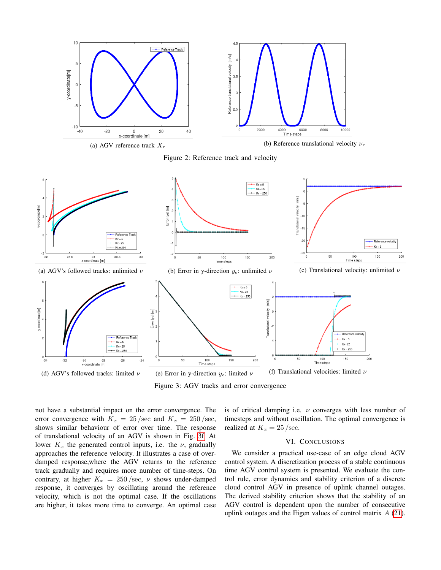<span id="page-4-1"></span>

Figure 2: Reference track and velocity

<span id="page-4-2"></span>

Figure 3: AGV tracks and error convergence

not have a substantial impact on the error convergence. The error convergence with  $K_x = 25/\text{sec}$  and  $K_x = 250/\text{sec}$ , shows similar behaviour of error over time. The response of translational velocity of an AGV is shown in Fig. [3f.](#page-4-2) At lower  $K_x$  the generated control inputs, i.e. the  $\nu$ , gradually approaches the reference velocity. It illustrates a case of overdamped response,where the AGV returns to the reference track gradually and requires more number of time-steps. On contrary, at higher  $K_x = 250$ /sec,  $\nu$  shows under-damped response, it converges by oscillating around the reference velocity, which is not the optimal case. If the oscillations are higher, it takes more time to converge. An optimal case is of critical damping i.e.  $\nu$  converges with less number of timesteps and without oscillation. The optimal convergence is realized at  $K_x = 25$ /sec.

#### VI. CONCLUSIONS

<span id="page-4-0"></span>We consider a practical use-case of an edge cloud AGV control system. A discretization process of a stable continuous time AGV control system is presented. We evaluate the control rule, error dynamics and stability criterion of a discrete cloud control AGV in presence of uplink channel outages. The derived stability criterion shows that the stability of an AGV control is dependent upon the number of consecutive uplink outages and the Eigen values of control matrix A [\(21\)](#page-3-3).